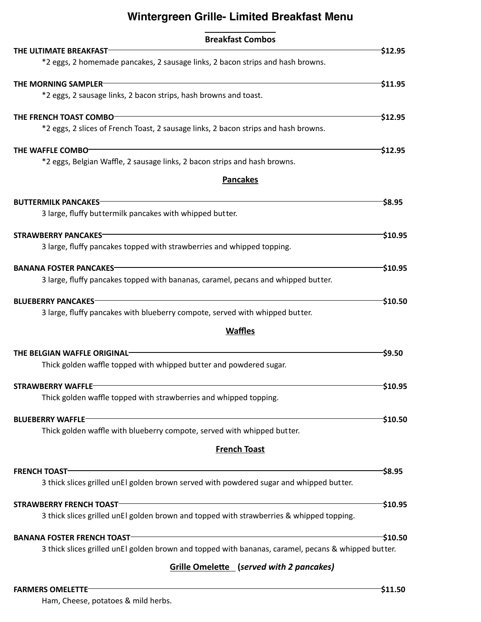# **Wintergreen Grille- Limited Breakfast Menu**

| <b>Breakfast Combos</b>                                                                             |                      |
|-----------------------------------------------------------------------------------------------------|----------------------|
| THE ULTIMATE BREAKFAST                                                                              | \$12.95              |
| *2 eggs, 2 homemade pancakes, 2 sausage links, 2 bacon strips and hash browns.                      |                      |
| THE MORNING SAMPLER                                                                                 | 511.95               |
| *2 eggs, 2 sausage links, 2 bacon strips, hash browns and toast.                                    |                      |
| THE FRENCH TOAST COMBO-                                                                             | \$12.95              |
| *2 eggs, 2 slices of French Toast, 2 sausage links, 2 bacon strips and hash browns.                 |                      |
| THE WAFFLE COMBO                                                                                    | 512.95               |
| *2 eggs, Belgian Waffle, 2 sausage links, 2 bacon strips and hash browns.                           |                      |
| <b>Pancakes</b>                                                                                     |                      |
| <b>BUTTERMILK PANCAKES-</b>                                                                         | S8.95                |
| 3 large, fluffy buttermilk pancakes with whipped butter.                                            |                      |
| <b>STRAWBERRY PANCAKES-</b>                                                                         | S10.95-              |
| 3 large, fluffy pancakes topped with strawberries and whipped topping.                              |                      |
| <b>BANANA FOSTER PANCAKES</b>                                                                       | \$10.95              |
| 3 large, fluffy pancakes topped with bananas, caramel, pecans and whipped butter.                   |                      |
| <b>BLUEBERRY PANCAKES-</b>                                                                          | <sup>-</sup> \$10.50 |
| 3 large, fluffy pancakes with blueberry compote, served with whipped butter.                        |                      |
| <b>Waffles</b>                                                                                      |                      |
| THE BELGIAN WAFFLE ORIGINAL                                                                         | S9.50-               |
| Thick golden waffle topped with whipped butter and powdered sugar.                                  |                      |
| <b>STRAWBERRY WAFFLE</b>                                                                            | \$10.95              |
| Thick golden waffle topped with strawberries and whipped topping.                                   |                      |
| <b>BLUEBERRY WAFFLE-</b>                                                                            | 510.50               |
| Thick golden waffle with blueberry compote, served with whipped butter.                             |                      |
| <b>French Toast</b>                                                                                 |                      |
| <b>FRENCH TOAST</b>                                                                                 | \$8.95               |
| 3 thick slices grilled unEl golden brown served with powdered sugar and whipped butter.             |                      |
| <b>STRAWBERRY FRENCH TOAST-</b>                                                                     | $-510.95$            |
| 3 thick slices grilled unEl golden brown and topped with strawberries & whipped topping.            |                      |
| <b>BANANA FOSTER FRENCH TOAST</b>                                                                   | $-$10.50$            |
| 3 thick slices grilled unEl golden brown and topped with bananas, caramel, pecans & whipped butter. |                      |
| <b>Grille Omelette</b> (served with 2 pancakes)                                                     |                      |

# **FARMERS OMELETTE** \$11.50

Ham, Cheese, potatoes & mild herbs.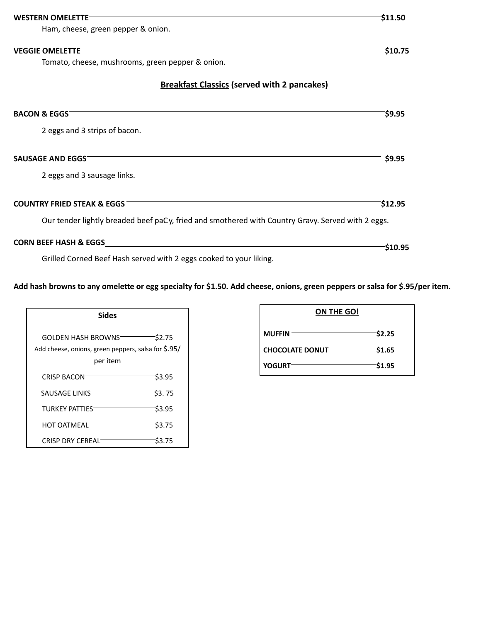| <b>WESTERN OMFLETTE</b>                                                                           | \$11.50       |
|---------------------------------------------------------------------------------------------------|---------------|
| Ham, cheese, green pepper & onion.                                                                |               |
| <b>VEGGIE OMELETTE</b><br>Tomato, cheese, mushrooms, green pepper & onion.                        | \$10.75       |
| <b>Breakfast Classics (served with 2 pancakes)</b>                                                |               |
| <b>BACON &amp; EGGS</b>                                                                           | \$9.95        |
| 2 eggs and 3 strips of bacon.                                                                     |               |
| <b>SAUSAGE AND EGGS</b>                                                                           | \$9.95        |
| 2 eggs and 3 sausage links.                                                                       |               |
| <b>COUNTRY FRIED STEAK &amp; EGGS</b>                                                             | \$12.95       |
| Our tender lightly breaded beef paCy, fried and smothered with Country Gravy. Served with 2 eggs. |               |
| <b>CORN BEEF HASH &amp; EGGS</b>                                                                  | <b>S10.95</b> |

Grilled Corned Beef Hash served with 2 eggs cooked to your liking.

**Add hash browns to any omele�e or egg specialty for \$1.50. Add cheese, onions, green peppers or salsa for \$.95/per item.**

| <b>Sides</b>                                                                           |              |  |  |
|----------------------------------------------------------------------------------------|--------------|--|--|
| GOLDEN HASH BROWNST<br>Add cheese, onions, green peppers, salsa for \$.95/<br>per item | \$2.75       |  |  |
| <b>CRISP BACON</b>                                                                     | \$3.95       |  |  |
| SAUSAGE LINKS                                                                          | S3. 75       |  |  |
| TURKEY PATTIES                                                                         | \$3.95       |  |  |
| HOT OATMFAL <sup>-</sup>                                                               | <b>S3.75</b> |  |  |
| <b>CRISP DRY CEREAL</b>                                                                | S3.75        |  |  |

| ON THE GO!              |        |
|-------------------------|--------|
| <b>MUFFIN</b>           | \$2.25 |
| <b>CHOCOLATE DONUT-</b> | \$1.65 |
| <b>YOGURT</b>           | \$1.95 |